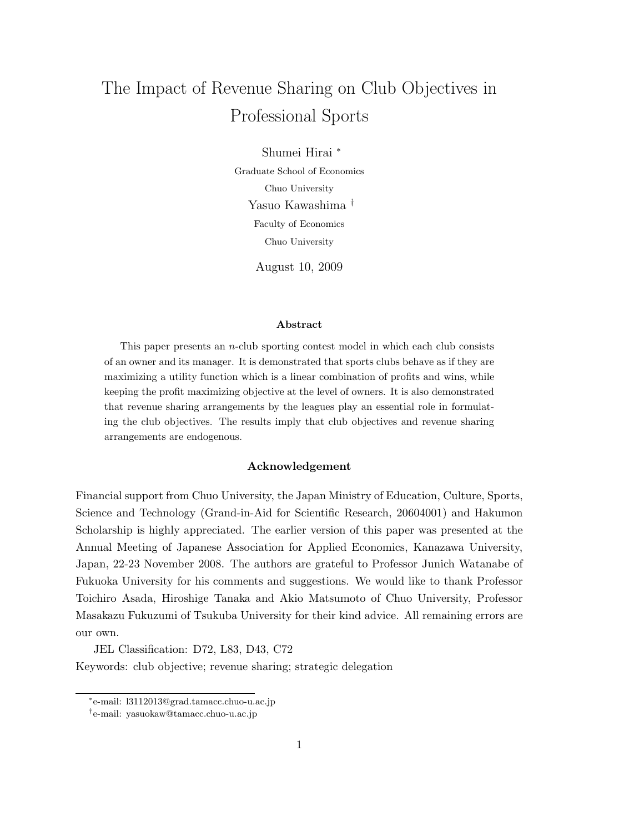# The Impact of Revenue Sharing on Club Objectives in Professional Sports

Shumei Hirai <sup>∗</sup> Graduate School of Economics Chuo University Yasuo Kawashima † Faculty of Economics Chuo University

August 10, 2009

#### **Abstract**

This paper presents an n-club sporting contest model in which each club consists of an owner and its manager. It is demonstrated that sports clubs behave as if they are maximizing a utility function which is a linear combination of profits and wins, while keeping the profit maximizing objective at the level of owners. It is also demonstrated that revenue sharing arrangements by the leagues play an essential role in formulating the club objectives. The results imply that club objectives and revenue sharing arrangements are endogenous.

#### **Acknowledgement**

Financial support from Chuo University, the Japan Ministry of Education, Culture, Sports, Science and Technology (Grand-in-Aid for Scientific Research, 20604001) and Hakumon Scholarship is highly appreciated. The earlier version of this paper was presented at the Annual Meeting of Japanese Association for Applied Economics, Kanazawa University, Japan, 22-23 November 2008. The authors are grateful to Professor Junich Watanabe of Fukuoka University for his comments and suggestions. We would like to thank Professor Toichiro Asada, Hiroshige Tanaka and Akio Matsumoto of Chuo University, Professor Masakazu Fukuzumi of Tsukuba University for their kind advice. All remaining errors are our own.

JEL Classification: D72, L83, D43, C72

Keywords: club objective; revenue sharing; strategic delegation

<sup>∗</sup>e-mail: l3112013@grad.tamacc.chuo-u.ac.jp

<sup>†</sup>e-mail: yasuokaw@tamacc.chuo-u.ac.jp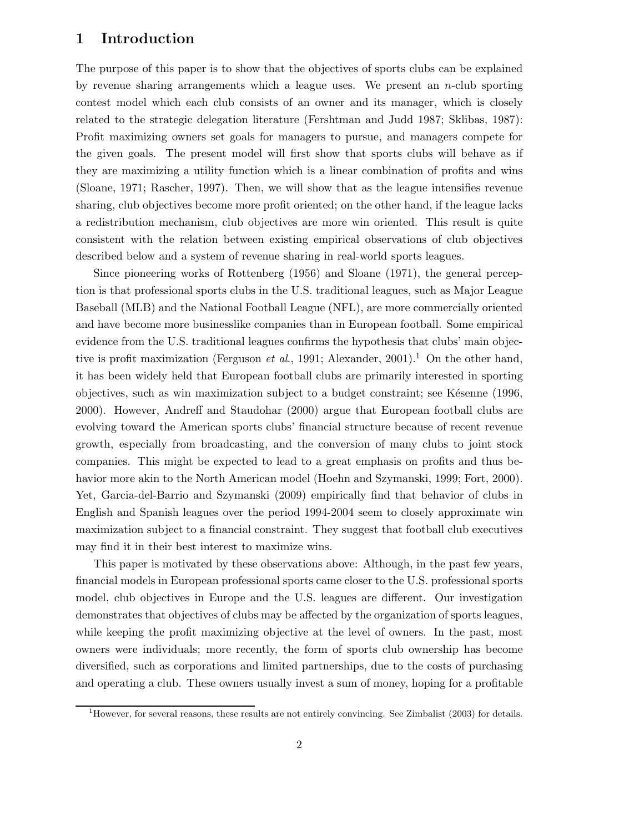#### **1 Introduction**

The purpose of this paper is to show that the objectives of sports clubs can be explained by revenue sharing arrangements which a league uses. We present an n-club sporting contest model which each club consists of an owner and its manager, which is closely related to the strategic delegation literature (Fershtman and Judd 1987; Sklibas, 1987): Profit maximizing owners set goals for managers to pursue, and managers compete for the given goals. The present model will first show that sports clubs will behave as if they are maximizing a utility function which is a linear combination of profits and wins (Sloane, 1971; Rascher, 1997). Then, we will show that as the league intensifies revenue sharing, club objectives become more profit oriented; on the other hand, if the league lacks a redistribution mechanism, club objectives are more win oriented. This result is quite consistent with the relation between existing empirical observations of club objectives described below and a system of revenue sharing in real-world sports leagues.

Since pioneering works of Rottenberg (1956) and Sloane (1971), the general perception is that professional sports clubs in the U.S. traditional leagues, such as Major League Baseball (MLB) and the National Football League (NFL), are more commercially oriented and have become more businesslike companies than in European football. Some empirical evidence from the U.S. traditional leagues confirms the hypothesis that clubs' main objective is profit maximization (Ferguson *et al.*, 1991; Alexander, 2001).<sup>1</sup> On the other hand, it has been widely held that European football clubs are primarily interested in sporting objectives, such as win maximization subject to a budget constraint; see Késenne (1996, 2000). However, Andreff and Staudohar (2000) argue that European football clubs are evolving toward the American sports clubs' financial structure because of recent revenue growth, especially from broadcasting, and the conversion of many clubs to joint stock companies. This might be expected to lead to a great emphasis on profits and thus behavior more akin to the North American model (Hoehn and Szymanski, 1999; Fort, 2000). Yet, Garcia-del-Barrio and Szymanski (2009) empirically find that behavior of clubs in English and Spanish leagues over the period 1994-2004 seem to closely approximate win maximization subject to a financial constraint. They suggest that football club executives may find it in their best interest to maximize wins.

This paper is motivated by these observations above: Although, in the past few years, financial models in European professional sports came closer to the U.S. professional sports model, club objectives in Europe and the U.S. leagues are different. Our investigation demonstrates that objectives of clubs may be affected by the organization of sports leagues, while keeping the profit maximizing objective at the level of owners. In the past, most owners were individuals; more recently, the form of sports club ownership has become diversified, such as corporations and limited partnerships, due to the costs of purchasing and operating a club. These owners usually invest a sum of money, hoping for a profitable

 $1$ However, for several reasons, these results are not entirely convincing. See Zimbalist (2003) for details.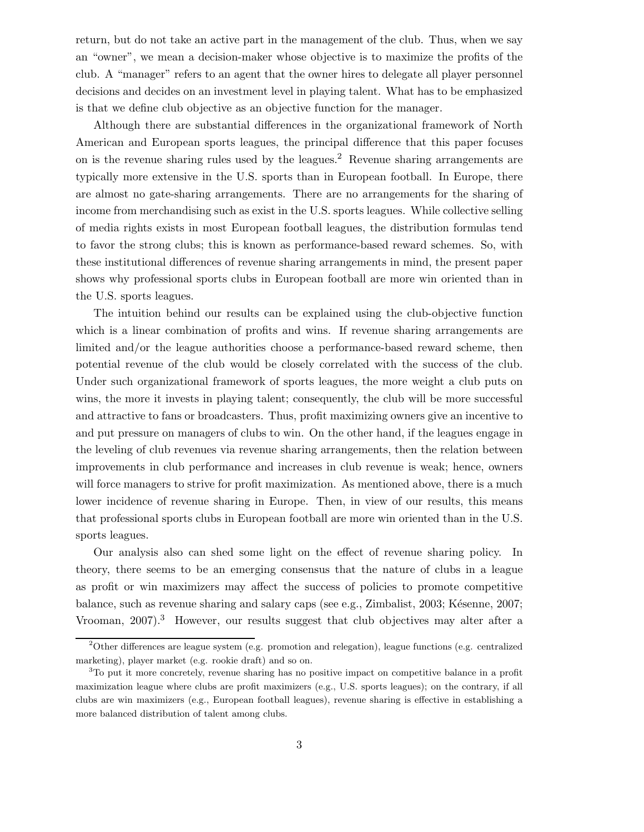return, but do not take an active part in the management of the club. Thus, when we say an "owner", we mean a decision-maker whose objective is to maximize the profits of the club. A "manager" refers to an agent that the owner hires to delegate all player personnel decisions and decides on an investment level in playing talent. What has to be emphasized is that we define club objective as an objective function for the manager.

Although there are substantial differences in the organizational framework of North American and European sports leagues, the principal difference that this paper focuses on is the revenue sharing rules used by the leagues.<sup>2</sup> Revenue sharing arrangements are typically more extensive in the U.S. sports than in European football. In Europe, there are almost no gate-sharing arrangements. There are no arrangements for the sharing of income from merchandising such as exist in the U.S. sports leagues. While collective selling of media rights exists in most European football leagues, the distribution formulas tend to favor the strong clubs; this is known as performance-based reward schemes. So, with these institutional differences of revenue sharing arrangements in mind, the present paper shows why professional sports clubs in European football are more win oriented than in the U.S. sports leagues.

The intuition behind our results can be explained using the club-objective function which is a linear combination of profits and wins. If revenue sharing arrangements are limited and/or the league authorities choose a performance-based reward scheme, then potential revenue of the club would be closely correlated with the success of the club. Under such organizational framework of sports leagues, the more weight a club puts on wins, the more it invests in playing talent; consequently, the club will be more successful and attractive to fans or broadcasters. Thus, profit maximizing owners give an incentive to and put pressure on managers of clubs to win. On the other hand, if the leagues engage in the leveling of club revenues via revenue sharing arrangements, then the relation between improvements in club performance and increases in club revenue is weak; hence, owners will force managers to strive for profit maximization. As mentioned above, there is a much lower incidence of revenue sharing in Europe. Then, in view of our results, this means that professional sports clubs in European football are more win oriented than in the U.S. sports leagues.

Our analysis also can shed some light on the effect of revenue sharing policy. In theory, there seems to be an emerging consensus that the nature of clubs in a league as profit or win maximizers may affect the success of policies to promote competitive balance, such as revenue sharing and salary caps (see e.g., Zimbalist, 2003; Késenne, 2007; Vrooman, 2007).<sup>3</sup> However, our results suggest that club objectives may alter after a

<sup>2</sup>Other differences are league system (e.g. promotion and relegation), league functions (e.g. centralized marketing), player market (e.g. rookie draft) and so on.

<sup>3</sup>To put it more concretely, revenue sharing has no positive impact on competitive balance in a profit maximization league where clubs are profit maximizers (e.g., U.S. sports leagues); on the contrary, if all clubs are win maximizers (e.g., European football leagues), revenue sharing is effective in establishing a more balanced distribution of talent among clubs.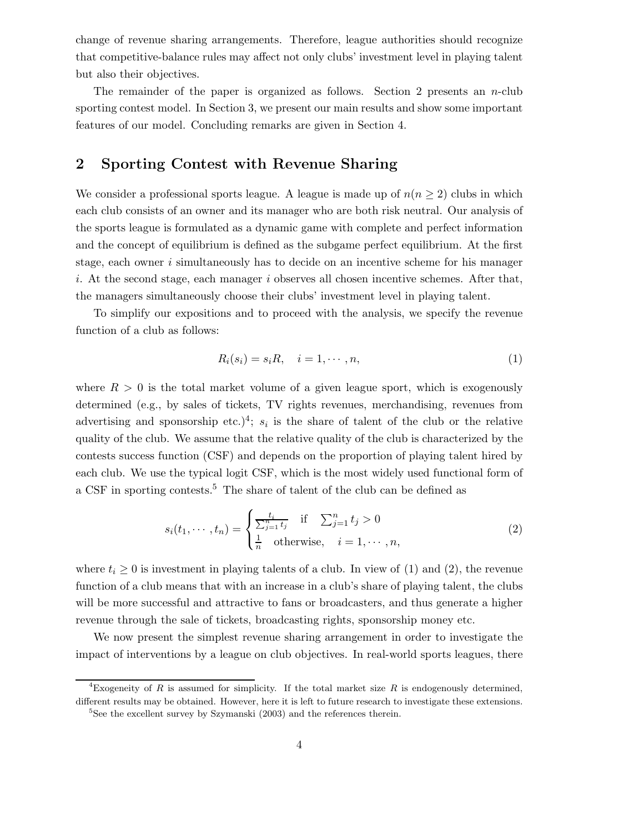change of revenue sharing arrangements. Therefore, league authorities should recognize that competitive-balance rules may affect not only clubs' investment level in playing talent but also their objectives.

The remainder of the paper is organized as follows. Section 2 presents an  $n$ -club sporting contest model. In Section 3, we present our main results and show some important features of our model. Concluding remarks are given in Section 4.

### **2 Sporting Contest with Revenue Sharing**

We consider a professional sports league. A league is made up of  $n(n \geq 2)$  clubs in which each club consists of an owner and its manager who are both risk neutral. Our analysis of the sports league is formulated as a dynamic game with complete and perfect information and the concept of equilibrium is defined as the subgame perfect equilibrium. At the first stage, each owner i simultaneously has to decide on an incentive scheme for his manager i. At the second stage, each manager i observes all chosen incentive schemes. After that, the managers simultaneously choose their clubs' investment level in playing talent.

To simplify our expositions and to proceed with the analysis, we specify the revenue function of a club as follows:

$$
R_i(s_i) = s_i R, \quad i = 1, \cdots, n,
$$
\n<sup>(1)</sup>

where  $R > 0$  is the total market volume of a given league sport, which is exogenously determined (e.g., by sales of tickets, TV rights revenues, merchandising, revenues from advertising and sponsorship etc.)<sup>4</sup>;  $s_i$  is the share of talent of the club or the relative quality of the club. We assume that the relative quality of the club is characterized by the contests success function (CSF) and depends on the proportion of playing talent hired by each club. We use the typical logit CSF, which is the most widely used functional form of a CSF in sporting contests.<sup>5</sup> The share of talent of the club can be defined as

$$
s_i(t_1, \dots, t_n) = \begin{cases} \frac{t_i}{\sum_{j=1}^n t_j} & \text{if } \sum_{j=1}^n t_j > 0\\ \frac{1}{n} & \text{otherwise}, \quad i = 1, \dots, n, \end{cases} \tag{2}
$$

where  $t_i \geq 0$  is investment in playing talents of a club. In view of (1) and (2), the revenue function of a club means that with an increase in a club's share of playing talent, the clubs will be more successful and attractive to fans or broadcasters, and thus generate a higher revenue through the sale of tickets, broadcasting rights, sponsorship money etc.

We now present the simplest revenue sharing arrangement in order to investigate the impact of interventions by a league on club objectives. In real-world sports leagues, there

<sup>&</sup>lt;sup>4</sup>Exogeneity of *R* is assumed for simplicity. If the total market size *R* is endogenously determined, different results may be obtained. However, here it is left to future research to investigate these extensions.

 $5$ See the excellent survey by Szymanski (2003) and the references therein.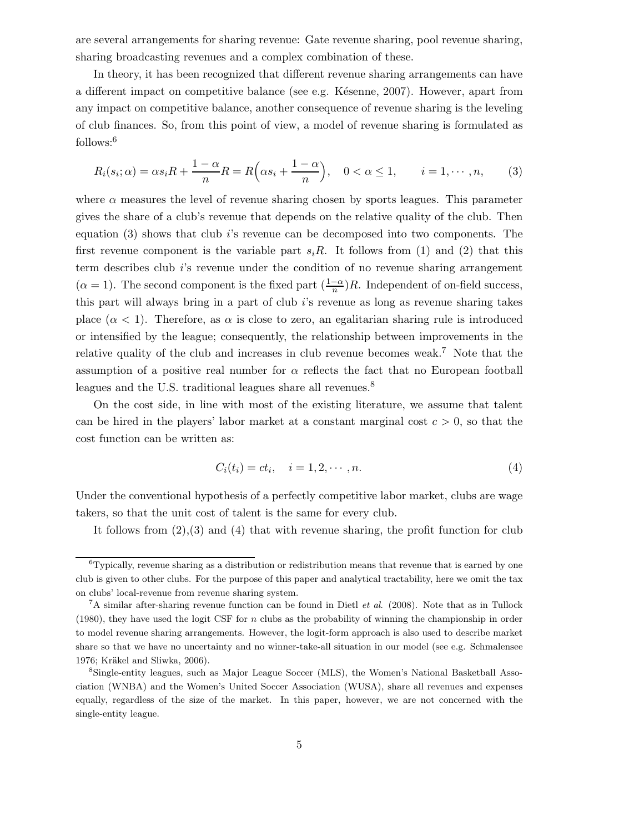are several arrangements for sharing revenue: Gate revenue sharing, pool revenue sharing, sharing broadcasting revenues and a complex combination of these.

In theory, it has been recognized that different revenue sharing arrangements can have a different impact on competitive balance (see e.g. Késenne, 2007). However, apart from any impact on competitive balance, another consequence of revenue sharing is the leveling of club finances. So, from this point of view, a model of revenue sharing is formulated as follows:<sup>6</sup>

$$
R_i(s_i; \alpha) = \alpha s_i R + \frac{1 - \alpha}{n} R = R\left(\alpha s_i + \frac{1 - \alpha}{n}\right), \quad 0 < \alpha \le 1, \qquad i = 1, \cdots, n,\tag{3}
$$

where  $\alpha$  measures the level of revenue sharing chosen by sports leagues. This parameter gives the share of a club's revenue that depends on the relative quality of the club. Then equation (3) shows that club i's revenue can be decomposed into two components. The first revenue component is the variable part  $s_iR$ . It follows from (1) and (2) that this term describes club i's revenue under the condition of no revenue sharing arrangement  $(\alpha = 1)$ . The second component is the fixed part  $(\frac{1-\alpha}{n})R$ . Independent of on-field success, this part will always bring in a part of club i's revenue as long as revenue sharing takes place  $(\alpha < 1)$ . Therefore, as  $\alpha$  is close to zero, an egalitarian sharing rule is introduced or intensified by the league; consequently, the relationship between improvements in the relative quality of the club and increases in club revenue becomes weak.<sup>7</sup> Note that the assumption of a positive real number for  $\alpha$  reflects the fact that no European football leagues and the U.S. traditional leagues share all revenues.<sup>8</sup>

On the cost side, in line with most of the existing literature, we assume that talent can be hired in the players' labor market at a constant marginal cost  $c > 0$ , so that the cost function can be written as:

$$
C_i(t_i) = ct_i, \quad i = 1, 2, \cdots, n. \tag{4}
$$

Under the conventional hypothesis of a perfectly competitive labor market, clubs are wage takers, so that the unit cost of talent is the same for every club.

It follows from  $(2),(3)$  and  $(4)$  that with revenue sharing, the profit function for club

 ${}^{6}$ Typically, revenue sharing as a distribution or redistribution means that revenue that is earned by one club is given to other clubs.For the purpose of this paper and analytical tractability, here we omit the tax on clubs' local-revenue from revenue sharing system.

 ${}^{7}A$  similar after-sharing revenue function can be found in Dietl *et al.* (2008). Note that as in Tullock (1980), they have used the logit CSF for *n* clubs as the probability of winning the championship in order to model revenue sharing arrangements. However, the logit-form approach is also used to describe market share so that we have no uncertainty and no winner-take-all situation in our model (see e.g. Schmalensee 1976; Kräkel and Sliwka, 2006).

<sup>8</sup>Single-entity leagues, such as Major League Soccer (MLS), the Women's National Basketball Association (WNBA) and the Women's United Soccer Association (WUSA), share all revenues and expenses equally, regardless of the size of the market.In this paper, however, we are not concerned with the single-entity league.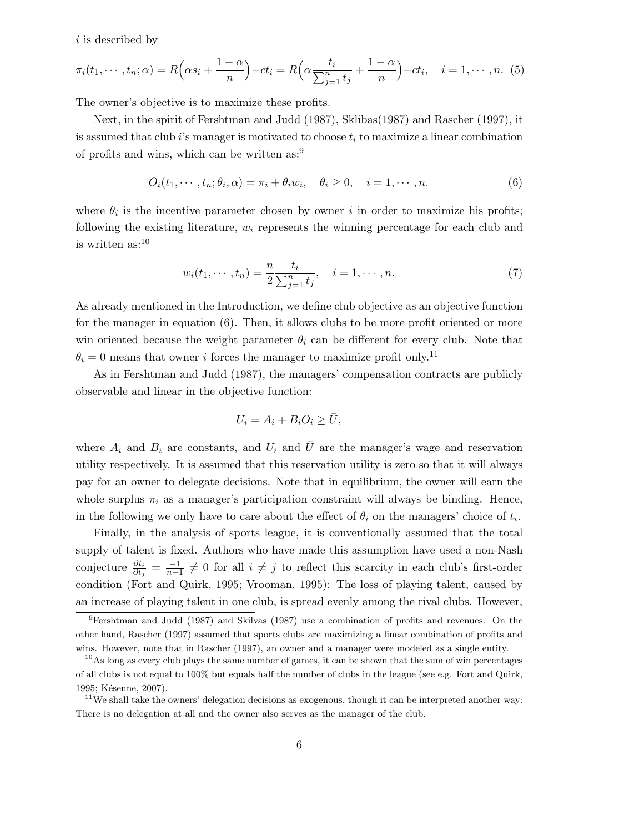$i$  is described by

$$
\pi_i(t_1,\dots,t_n;\alpha) = R\left(\alpha s_i + \frac{1-\alpha}{n}\right) - ct_i = R\left(\alpha \frac{t_i}{\sum_{j=1}^n t_j} + \frac{1-\alpha}{n}\right) - ct_i, \quad i = 1,\dots,n. \tag{5}
$$

The owner's objective is to maximize these profits.

Next, in the spirit of Fershtman and Judd (1987), Sklibas(1987) and Rascher (1997), it is assumed that club i's manager is motivated to choose  $t_i$  to maximize a linear combination of profits and wins, which can be written as:<sup>9</sup>

$$
O_i(t_1, \cdots, t_n; \theta_i, \alpha) = \pi_i + \theta_i w_i, \quad \theta_i \ge 0, \quad i = 1, \cdots, n.
$$
 (6)

where  $\theta_i$  is the incentive parameter chosen by owner i in order to maximize his profits; following the existing literature,  $w_i$  represents the winning percentage for each club and is written  $as:^{10}$ 

$$
w_i(t_1, \dots, t_n) = \frac{n}{2} \frac{t_i}{\sum_{j=1}^n t_j}, \quad i = 1, \dots, n.
$$
 (7)

As already mentioned in the Introduction, we define club objective as an objective function for the manager in equation (6). Then, it allows clubs to be more profit oriented or more win oriented because the weight parameter  $\theta_i$  can be different for every club. Note that  $\theta_i = 0$  means that owner *i* forces the manager to maximize profit only.<sup>11</sup>

As in Fershtman and Judd (1987), the managers' compensation contracts are publicly observable and linear in the objective function:

$$
U_i=A_i+B_iO_i\geq \bar U,
$$

where  $A_i$  and  $B_i$  are constants, and  $U_i$  and  $\overline{U}$  are the manager's wage and reservation utility respectively. It is assumed that this reservation utility is zero so that it will always pay for an owner to delegate decisions. Note that in equilibrium, the owner will earn the whole surplus  $\pi_i$  as a manager's participation constraint will always be binding. Hence, in the following we only have to care about the effect of  $\theta_i$  on the managers' choice of  $t_i$ .

Finally, in the analysis of sports league, it is conventionally assumed that the total supply of talent is fixed. Authors who have made this assumption have used a non-Nash conjecture  $\frac{\partial t_i}{\partial t_j} = \frac{-1}{n-1} \neq 0$  for all  $i \neq j$  to reflect this scarcity in each club's first-order condition (Fort and Quirk, 1995; Vrooman, 1995): The loss of playing talent, caused by an increase of playing talent in one club, is spread evenly among the rival clubs. However,

 $9$ Fershtman and Judd (1987) and Skilvas (1987) use a combination of profits and revenues. On the other hand, Rascher (1997) assumed that sports clubs are maximizing a linear combination of profits and wins. However, note that in Rascher (1997), an owner and a manager were modeled as a single entity.

 $10<sup>10</sup>$ As long as every club plays the same number of games, it can be shown that the sum of win percentages of all clubs is not equal to 100% but equals half the number of clubs in the league (see e.g. Fort and Quirk, 1995; Késenne, 2007).

 $11$  We shall take the owners' delegation decisions as exogenous, though it can be interpreted another way: There is no delegation at all and the owner also serves as the manager of the club.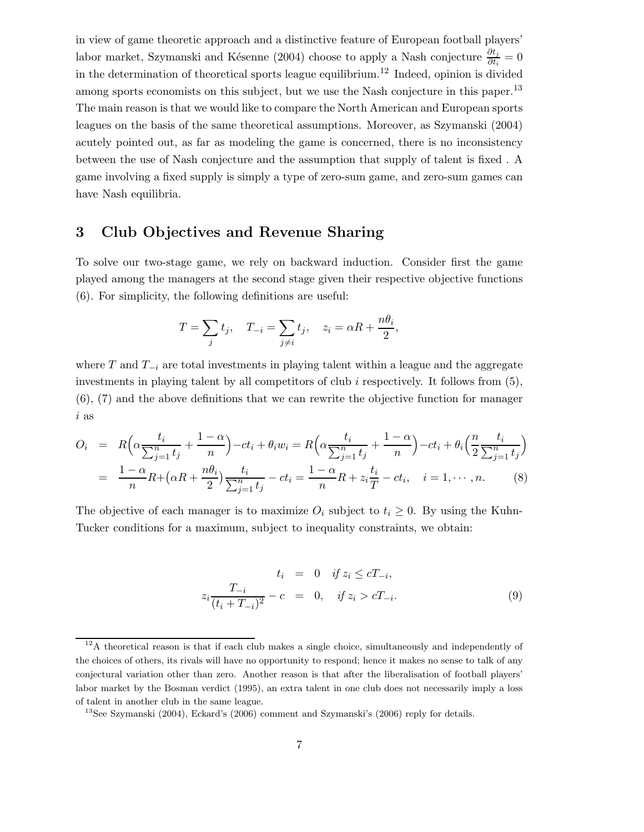in view of game theoretic approach and a distinctive feature of European football players' labor market, Szymanski and Késenne (2004) choose to apply a Nash conjecture  $\frac{\partial t_j}{\partial t_i} = 0$ in the determination of theoretical sports league equilibrium.<sup>12</sup> Indeed, opinion is divided among sports economists on this subject, but we use the Nash conjecture in this paper.<sup>13</sup> The main reason is that we would like to compare the North American and European sports leagues on the basis of the same theoretical assumptions. Moreover, as Szymanski (2004) acutely pointed out, as far as modeling the game is concerned, there is no inconsistency between the use of Nash conjecture and the assumption that supply of talent is fixed . A game involving a fixed supply is simply a type of zero-sum game, and zero-sum games can have Nash equilibria.

## **3 Club Objectives and Revenue Sharing**

To solve our two-stage game, we rely on backward induction. Consider first the game played among the managers at the second stage given their respective objective functions (6). For simplicity, the following definitions are useful:

$$
T = \sum_{j} t_j, \quad T_{-i} = \sum_{j \neq i} t_j, \quad z_i = \alpha R + \frac{n\theta_i}{2},
$$

where  $T$  and  $T_{-i}$  are total investments in playing talent within a league and the aggregate investments in playing talent by all competitors of club  $i$  respectively. It follows from  $(5)$ , (6), (7) and the above definitions that we can rewrite the objective function for manager i as

$$
O_i = R\left(\alpha \frac{t_i}{\sum_{j=1}^n t_j} + \frac{1-\alpha}{n}\right) - ct_i + \theta_i w_i = R\left(\alpha \frac{t_i}{\sum_{j=1}^n t_j} + \frac{1-\alpha}{n}\right) - ct_i + \theta_i \left(\frac{n}{2} \frac{t_i}{\sum_{j=1}^n t_j}\right)
$$
  
= 
$$
\frac{1-\alpha}{n} R + (\alpha R + \frac{n\theta_i}{2}) \frac{t_i}{\sum_{j=1}^n t_j} - ct_i = \frac{1-\alpha}{n} R + z_i \frac{t_i}{T} - ct_i, \quad i = 1, \dots, n.
$$
 (8)

The objective of each manager is to maximize  $O_i$  subject to  $t_i \geq 0$ . By using the Kuhn-Tucker conditions for a maximum, subject to inequality constraints, we obtain:

$$
t_i = 0 \t if z_i \le cT_{-i},
$$
  
\n
$$
z_i \frac{T_{-i}}{(t_i + T_{-i})^2} - c = 0, \t if z_i > cT_{-i}.
$$
  
\n(9)

 $12A$  theoretical reason is that if each club makes a single choice, simultaneously and independently of the choices of others, its rivals will have no opportunity to respond; hence it makes no sense to talk of any conjectural variation other than zero.Another reason is that after the liberalisation of football players' labor market by the Bosman verdict (1995), an extra talent in one club does not necessarily imply a loss of talent in another club in the same league.

<sup>&</sup>lt;sup>13</sup>See Szymanski (2004), Eckard's (2006) comment and Szymanski's (2006) reply for details.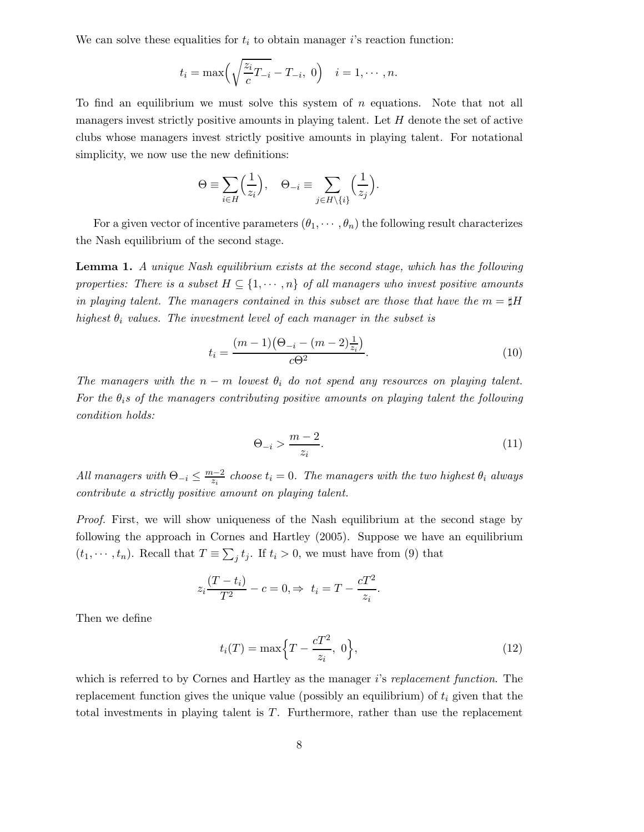We can solve these equalities for  $t_i$  to obtain manager i's reaction function:

$$
t_i = \max\left(\sqrt{\frac{z_i}{c}T_{-i}} - T_{-i}, 0\right) \quad i = 1, \cdots, n.
$$

To find an equilibrium we must solve this system of  $n$  equations. Note that not all managers invest strictly positive amounts in playing talent. Let  $H$  denote the set of active clubs whose managers invest strictly positive amounts in playing talent. For notational simplicity, we now use the new definitions:

$$
\Theta \equiv \sum_{i \in H} \left( \frac{1}{z_i} \right), \quad \Theta_{-i} \equiv \sum_{j \in H \setminus \{i\}} \left( \frac{1}{z_j} \right).
$$

For a given vector of incentive parameters  $(\theta_1, \dots, \theta_n)$  the following result characterizes the Nash equilibrium of the second stage.

**Lemma 1.** *A unique Nash equilibrium exists at the second stage, which has the following properties: There is a subset*  $H \subseteq \{1, \dots, n\}$  *of all managers who invest positive amounts in playing talent. The managers contained in this subset are those that have the*  $m = \sharp H$ *highest*  $\theta_i$  *values. The investment level of each manager in the subset is* 

$$
t_i = \frac{(m-1)\left(\Theta_{-i} - (m-2)\frac{1}{z_i}\right)}{c\Theta^2}.
$$
\n(10)

*The managers with the*  $n - m$  *lowest*  $\theta_i$  *do not spend any resources on playing talent. For the*  $\theta_i$ *s* of the managers contributing positive amounts on playing talent the following *condition holds:*

$$
\Theta_{-i} > \frac{m-2}{z_i}.\tag{11}
$$

*All managers with*  $\Theta_{-i} \leq \frac{m-2}{z_i}$  *choose*  $t_i = 0$ *. The managers with the two highest*  $\theta_i$  *always contribute a strictly positive amount on playing talent.*

*Proof.* First, we will show uniqueness of the Nash equilibrium at the second stage by following the approach in Cornes and Hartley (2005). Suppose we have an equilibrium  $(t_1, \dots, t_n)$ . Recall that  $T \equiv \sum_j t_j$ . If  $t_i > 0$ , we must have from (9) that

$$
z_i \frac{(T - t_i)}{T^2} - c = 0, \Rightarrow t_i = T - \frac{cT^2}{z_i}.
$$

Then we define

$$
t_i(T) = \max\left\{T - \frac{cT^2}{z_i}, \ 0\right\},\tag{12}
$$

which is referred to by Cornes and Hartley as the manager i's *replacement function*. The replacement function gives the unique value (possibly an equilibrium) of  $t_i$  given that the total investments in playing talent is T. Furthermore, rather than use the replacement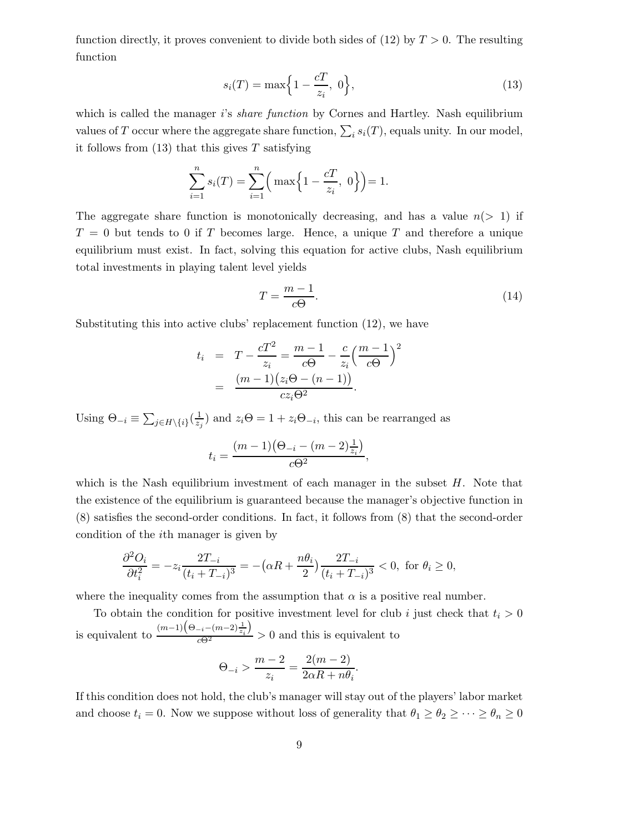function directly, it proves convenient to divide both sides of  $(12)$  by  $T > 0$ . The resulting function

$$
s_i(T) = \max\left\{1 - \frac{cT}{z_i}, 0\right\},\tag{13}
$$

which is called the manager is *share function* by Cornes and Hartley. Nash equilibrium values of T occur where the aggregate share function,  $\sum_i s_i(T)$ , equals unity. In our model, it follows from  $(13)$  that this gives T satisfying

$$
\sum_{i=1}^{n} s_i(T) = \sum_{i=1}^{n} \left( \max \left\{ 1 - \frac{cT}{z_i}, 0 \right\} \right) = 1.
$$

The aggregate share function is monotonically decreasing, and has a value  $n(> 1)$  if  $T = 0$  but tends to 0 if T becomes large. Hence, a unique T and therefore a unique equilibrium must exist. In fact, solving this equation for active clubs, Nash equilibrium total investments in playing talent level yields

$$
T = \frac{m-1}{c\Theta}.\tag{14}
$$

Substituting this into active clubs' replacement function (12), we have

$$
t_i = T - \frac{cT^2}{z_i} = \frac{m-1}{c\Theta} - \frac{c}{z_i} \left(\frac{m-1}{c\Theta}\right)^2
$$
  
= 
$$
\frac{(m-1)(z_i\Theta - (n-1))}{cz_i\Theta^2}.
$$

Using  $\Theta_{-i} \equiv \sum_{j \in H \setminus \{i\}} (\frac{1}{z_j})$  and  $z_i \Theta = 1 + z_i \Theta_{-i}$ , this can be rearranged as

$$
t_i = \frac{(m-1)\left(\Theta_{-i} - (m-2)\frac{1}{z_i}\right)}{c\Theta^2},
$$

which is the Nash equilibrium investment of each manager in the subset  $H$ . Note that the existence of the equilibrium is guaranteed because the manager's objective function in (8) satisfies the second-order conditions. In fact, it follows from (8) that the second-order condition of the ith manager is given by

$$
\frac{\partial^2 O_i}{\partial t_i^2} = -z_i \frac{2T_{-i}}{(t_i + T_{-i})^3} = -(\alpha R + \frac{n\theta_i}{2}) \frac{2T_{-i}}{(t_i + T_{-i})^3} < 0, \text{ for } \theta_i \ge 0,
$$

where the inequality comes from the assumption that  $\alpha$  is a positive real number.

To obtain the condition for positive investment level for club i just check that  $t_i > 0$ is equivalent to  $\frac{(m-1)(\Theta_{-i}-(m-2)\frac{1}{z_i})}{c\Theta^2} > 0$  and this is equivalent to

$$
\Theta_{-i} > \frac{m-2}{z_i} = \frac{2(m-2)}{2\alpha R + n\theta_i}.
$$

If this condition does not hold, the club's manager will stay out of the players' labor market and choose  $t_i = 0$ . Now we suppose without loss of generality that  $\theta_1 \ge \theta_2 \ge \cdots \ge \theta_n \ge 0$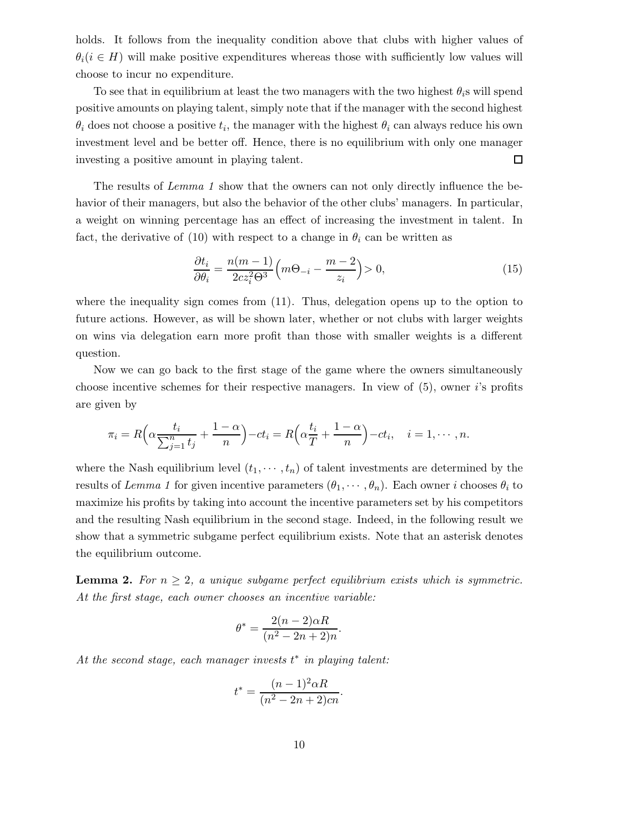holds. It follows from the inequality condition above that clubs with higher values of  $\theta_i (i \in H)$  will make positive expenditures whereas those with sufficiently low values will choose to incur no expenditure.

To see that in equilibrium at least the two managers with the two highest  $\theta_i$ s will spend positive amounts on playing talent, simply note that if the manager with the second highest  $\theta_i$  does not choose a positive  $t_i$ , the manager with the highest  $\theta_i$  can always reduce his own investment level and be better off. Hence, there is no equilibrium with only one manager investing a positive amount in playing talent. □

The results of *Lemma 1* show that the owners can not only directly influence the behavior of their managers, but also the behavior of the other clubs' managers. In particular, a weight on winning percentage has an effect of increasing the investment in talent. In fact, the derivative of (10) with respect to a change in  $\theta_i$  can be written as

$$
\frac{\partial t_i}{\partial \theta_i} = \frac{n(m-1)}{2cz_i^2\Theta^3} \left(m\Theta_{-i} - \frac{m-2}{z_i}\right) > 0,\tag{15}
$$

where the inequality sign comes from  $(11)$ . Thus, delegation opens up to the option to future actions. However, as will be shown later, whether or not clubs with larger weights on wins via delegation earn more profit than those with smaller weights is a different question.

Now we can go back to the first stage of the game where the owners simultaneously choose incentive schemes for their respective managers. In view of  $(5)$ , owner i's profits are given by

$$
\pi_i = R\left(\alpha \frac{t_i}{\sum_{j=1}^n t_j} + \frac{1-\alpha}{n}\right) - ct_i = R\left(\alpha \frac{t_i}{T} + \frac{1-\alpha}{n}\right) - ct_i, \quad i = 1, \cdots, n.
$$

where the Nash equilibrium level  $(t_1, \dots, t_n)$  of talent investments are determined by the results of *Lemma 1* for given incentive parameters  $(\theta_1, \dots, \theta_n)$ . Each owner i chooses  $\theta_i$  to maximize his profits by taking into account the incentive parameters set by his competitors and the resulting Nash equilibrium in the second stage. Indeed, in the following result we show that a symmetric subgame perfect equilibrium exists. Note that an asterisk denotes the equilibrium outcome.

**Lemma 2.** For  $n \geq 2$ , a unique subgame perfect equilibrium exists which is symmetric. *At the first stage, each owner chooses an incentive variable:*

$$
\theta^* = \frac{2(n-2)\alpha R}{(n^2 - 2n + 2)n}.
$$

*At the second stage, each manager invests* t <sup>∗</sup> *in playing talent:*

$$
t^* = \frac{(n-1)^2 \alpha R}{(n^2 - 2n + 2)cn}.
$$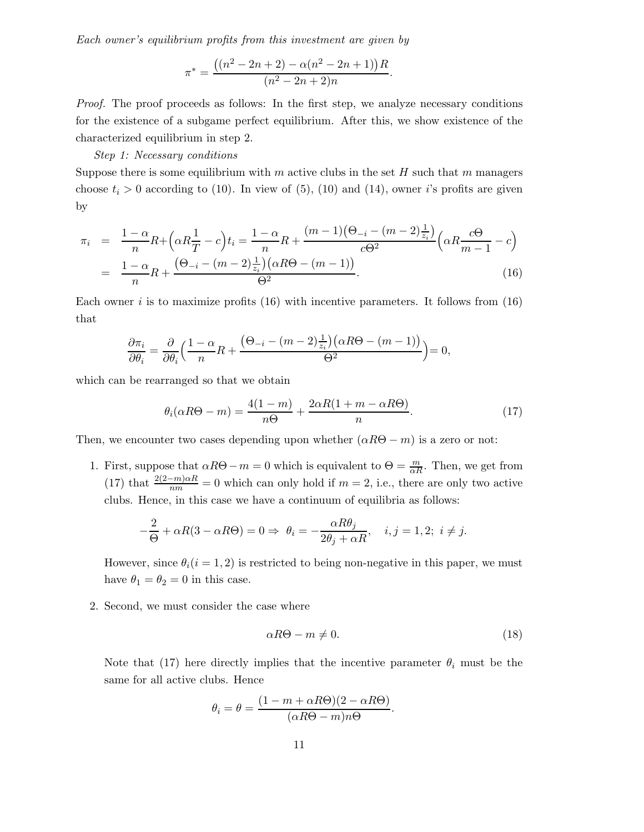*Each owner's equilibrium profits from this investment are given by*

$$
\pi^* = \frac{((n^2 - 2n + 2) - \alpha(n^2 - 2n + 1))R}{(n^2 - 2n + 2)n}.
$$

*Proof.* The proof proceeds as follows: In the first step, we analyze necessary conditions for the existence of a subgame perfect equilibrium. After this, we show existence of the characterized equilibrium in step 2.

#### *Step 1: Necessary conditions*

Suppose there is some equilibrium with  $m$  active clubs in the set  $H$  such that  $m$  managers choose  $t_i > 0$  according to (10). In view of (5), (10) and (14), owner i's profits are given by

$$
\pi_i = \frac{1 - \alpha}{n} R + \left( \alpha R \frac{1}{T} - c \right) t_i = \frac{1 - \alpha}{n} R + \frac{(m - 1)(\Theta_{-i} - (m - 2)\frac{1}{z_i})}{c\Theta^2} \left( \alpha R \frac{c\Theta}{m - 1} - c \right)
$$

$$
= \frac{1 - \alpha}{n} R + \frac{(\Theta_{-i} - (m - 2)\frac{1}{z_i})(\alpha R\Theta - (m - 1))}{\Theta^2}.
$$
(16)

Each owner i is to maximize profits  $(16)$  with incentive parameters. It follows from  $(16)$ that

$$
\frac{\partial \pi_i}{\partial \theta_i} = \frac{\partial}{\partial \theta_i} \left( \frac{1 - \alpha}{n} R + \frac{\left( \Theta_{-i} - (m - 2) \frac{1}{z_i} \right) \left( \alpha R \Theta - (m - 1) \right)}{\Theta^2} \right) = 0,
$$

which can be rearranged so that we obtain

$$
\theta_i(\alpha R\Theta - m) = \frac{4(1-m)}{n\Theta} + \frac{2\alpha R(1+m-\alpha R\Theta)}{n}.
$$
\n(17)

Then, we encounter two cases depending upon whether  $(\alpha R\Theta - m)$  is a zero or not:

1. First, suppose that  $\alpha R\Theta - m = 0$  which is equivalent to  $\Theta = \frac{m}{\alpha R}$ . Then, we get from (17) that  $\frac{2(2-m)\alpha R}{nm} = 0$  which can only hold if  $m = 2$ , i.e., there are only two active clubs. Hence, in this case we have a continuum of equilibria as follows:

$$
-\frac{2}{\Theta}+\alpha R(3-\alpha R \Theta)=0 \Rightarrow \ \theta_i=-\frac{\alpha R \theta_j}{2 \theta_j + \alpha R}, \quad i,j=1,2; \ i \neq j.
$$

However, since  $\theta_i(i = 1, 2)$  is restricted to being non-negative in this paper, we must have  $\theta_1 = \theta_2 = 0$  in this case.

2. Second, we must consider the case where

$$
\alpha R\Theta - m \neq 0. \tag{18}
$$

Note that (17) here directly implies that the incentive parameter  $\theta_i$  must be the same for all active clubs. Hence

$$
\theta_i = \theta = \frac{(1 - m + \alpha R\Theta)(2 - \alpha R\Theta)}{(\alpha R\Theta - m)n\Theta}.
$$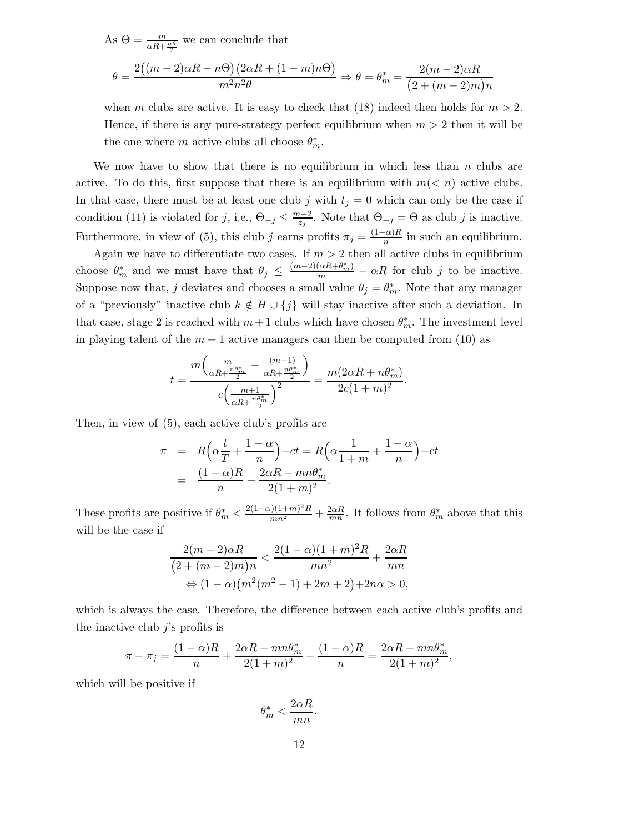As  $\Theta = \frac{m}{\alpha R + \frac{n\theta}{2}}$  we can conclude that

$$
\theta = \frac{2((m-2)\alpha R - n\Theta)(2\alpha R + (1-m)n\Theta)}{m^2 n^2 \theta} \Rightarrow \theta = \theta_m^* = \frac{2(m-2)\alpha R}{(2+(m-2)m)n}
$$

when m clubs are active. It is easy to check that (18) indeed then holds for  $m > 2$ . Hence, if there is any pure-strategy perfect equilibrium when  $m > 2$  then it will be the one where m active clubs all choose  $\theta_m^*$ .

We now have to show that there is no equilibrium in which less than  $n$  clubs are active. To do this, first suppose that there is an equilibrium with  $m(< n)$  active clubs. In that case, there must be at least one club j with  $t_j = 0$  which can only be the case if condition (11) is violated for j, i.e.,  $\Theta_{-j} \leq \frac{m-2}{z_j}$ . Note that  $\Theta_{-j} = \Theta$  as club j is inactive. Furthermore, in view of (5), this club j earns profits  $\pi_j = \frac{(1-\alpha)R}{n}$  in such an equilibrium.

Again we have to differentiate two cases. If  $m > 2$  then all active clubs in equilibrium choose  $\theta_m^*$  and we must have that  $\theta_j \leq \frac{(m-2)(\alpha R + \theta_m^*)}{m} - \alpha R$  for club j to be inactive. Suppose now that, j deviates and chooses a small value  $\theta_j = \theta_m^*$ . Note that any manager of a "previously" inactive club  $k \notin H \cup \{j\}$  will stay inactive after such a deviation. In that case, stage 2 is reached with  $m+1$  clubs which have chosen  $\theta_m^*$ . The investment level in playing talent of the  $m + 1$  active managers can then be computed from (10) as

$$
t = \frac{m\left(\frac{m}{\alpha R + \frac{n\theta_m^*}{2}} - \frac{(m-1)}{\alpha R + \frac{n\theta_m^*}{2}}\right)}{c\left(\frac{m+1}{\alpha R + \frac{n\theta_m^*}{2}}\right)^2} = \frac{m(2\alpha R + n\theta_m^*)}{2c(1+m)^2}.
$$

Then, in view of (5), each active club's profits are

$$
\pi = R\left(\alpha \frac{t}{T} + \frac{1-\alpha}{n}\right) - ct = R\left(\alpha \frac{1}{1+m} + \frac{1-\alpha}{n}\right) - ct
$$

$$
= \frac{(1-\alpha)R}{n} + \frac{2\alpha R - mn\theta_m^*}{2(1+m)^2}.
$$

These profits are positive if  $\theta_m^* < \frac{2(1-\alpha)(1+m)^2 R}{mn^2} + \frac{2\alpha R}{mn}$ . It follows from  $\theta_m^*$  above that this will be the case if

$$
\frac{2(m-2)\alpha R}{(2+(m-2)m)n} < \frac{2(1-\alpha)(1+m)^2R}{mn^2} + \frac{2\alpha R}{mn}
$$
\n
$$
\Leftrightarrow (1-\alpha)\left(m^2(m^2-1) + 2m + 2\right) + 2n\alpha > 0,
$$

which is always the case. Therefore, the difference between each active club's profits and the inactive club  $j$ 's profits is

$$
\pi - \pi_j = \frac{(1 - \alpha)R}{n} + \frac{2\alpha R - mn\theta_m^*}{2(1 + m)^2} - \frac{(1 - \alpha)R}{n} = \frac{2\alpha R - mn\theta_m^*}{2(1 + m)^2},
$$

which will be positive if

$$
\theta_m^* < \frac{2\alpha R}{mn}.
$$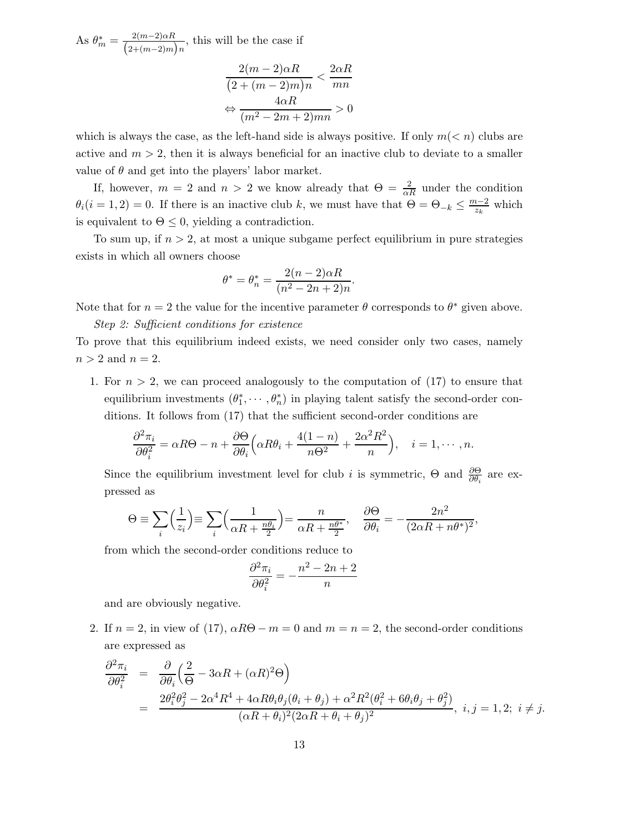As  $\theta_m^* = \frac{2(m-2)\alpha R}{(2+(m-2)m)n}$ , this will be the case if

$$
\frac{2(m-2)\alpha R}{(2+(m-2)m)n} < \frac{2\alpha R}{mn}
$$
\n
$$
\Leftrightarrow \frac{4\alpha R}{(m^2-2m+2)mn} > 0
$$

which is always the case, as the left-hand side is always positive. If only  $m(< n)$  clubs are active and  $m > 2$ , then it is always beneficial for an inactive club to deviate to a smaller value of  $\theta$  and get into the players' labor market.

If, however,  $m = 2$  and  $n > 2$  we know already that  $\Theta = \frac{2}{\alpha R}$  under the condition  $\theta_i(i=1,2)=0$ . If there is an inactive club k, we must have that  $\Theta=\Theta_{-k}\leq \frac{m-2}{z_k}$  which is equivalent to  $\Theta \leq 0$ , yielding a contradiction.

To sum up, if  $n > 2$ , at most a unique subgame perfect equilibrium in pure strategies exists in which all owners choose

$$
\theta^* = \theta_n^* = \frac{2(n-2)\alpha R}{(n^2 - 2n + 2)n}.
$$

Note that for  $n = 2$  the value for the incentive parameter  $\theta$  corresponds to  $\theta^*$  given above.

*Step 2: Sufficient conditions for existence*

To prove that this equilibrium indeed exists, we need consider only two cases, namely  $n > 2$  and  $n = 2$ .

1. For  $n > 2$ , we can proceed analogously to the computation of (17) to ensure that equilibrium investments  $(\theta_1^*, \dots, \theta_n^*)$  in playing talent satisfy the second-order conditions. It follows from (17) that the sufficient second-order conditions are

$$
\frac{\partial^2 \pi_i}{\partial \theta_i^2} = \alpha R \Theta - n + \frac{\partial \Theta}{\partial \theta_i} \left( \alpha R \theta_i + \frac{4(1-n)}{n \Theta^2} + \frac{2\alpha^2 R^2}{n} \right), \quad i = 1, \cdots, n.
$$

Since the equilibrium investment level for club *i* is symmetric,  $\Theta$  and  $\frac{\partial \Theta}{\partial \theta_i}$  are expressed as

$$
\Theta \equiv \sum_{i} \left( \frac{1}{z_i} \right) \equiv \sum_{i} \left( \frac{1}{\alpha R + \frac{n\theta_i}{2}} \right) = \frac{n}{\alpha R + \frac{n\theta^*}{2}}, \quad \frac{\partial \Theta}{\partial \theta_i} = -\frac{2n^2}{(2\alpha R + n\theta^*)^2},
$$

from which the second-order conditions reduce to

$$
\frac{\partial^2 \pi_i}{\partial \theta_i^2} = -\frac{n^2 - 2n + 2}{n}
$$

and are obviously negative.

2. If  $n = 2$ , in view of (17),  $\alpha R\Theta - m = 0$  and  $m = n = 2$ , the second-order conditions are expressed as

$$
\frac{\partial^2 \pi_i}{\partial \theta_i^2} = \frac{\partial}{\partial \theta_i} \left( \frac{2}{\Theta} - 3\alpha R + (\alpha R)^2 \Theta \right)
$$
  
= 
$$
\frac{2\theta_i^2 \theta_j^2 - 2\alpha^4 R^4 + 4\alpha R \theta_i \theta_j (\theta_i + \theta_j) + \alpha^2 R^2 (\theta_i^2 + 6\theta_i \theta_j + \theta_j^2)}{(\alpha R + \theta_i)^2 (2\alpha R + \theta_i + \theta_j)^2}, i, j = 1, 2; i \neq j.
$$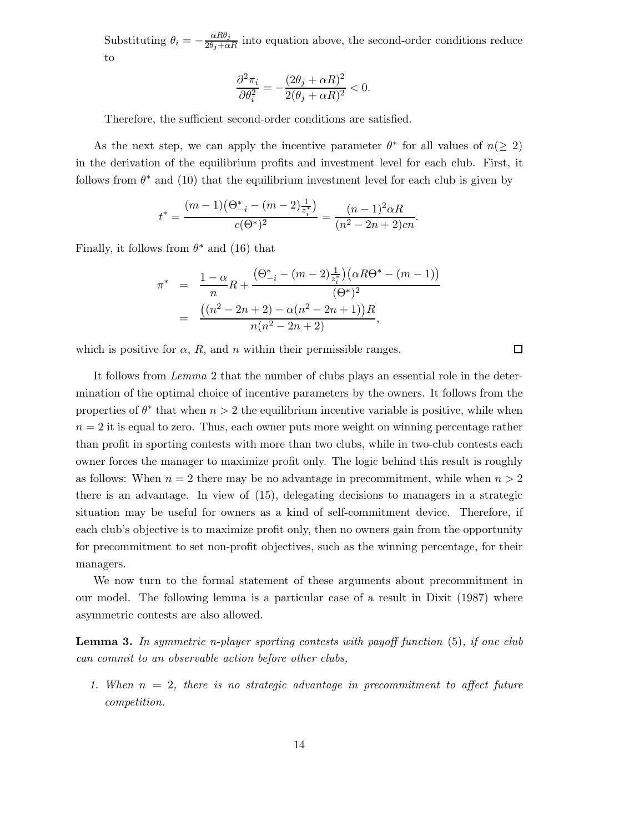Substituting  $\theta_i = -\frac{\alpha R \theta_j}{2\theta_j + \alpha R}$  into equation above, the second-order conditions reduce to

$$
\frac{\partial^2 \pi_i}{\partial \theta_i^2} = -\frac{(2\theta_j+\alpha R)^2}{2(\theta_j+\alpha R)^2} < 0.
$$

Therefore, the sufficient second-order conditions are satisfied.

As the next step, we can apply the incentive parameter  $\theta^*$  for all values of  $n(> 2)$ in the derivation of the equilibrium profits and investment level for each club. First, it follows from  $\theta^*$  and (10) that the equilibrium investment level for each club is given by

$$
t^* = \frac{(m-1)\left(\Theta_{-i}^* - (m-2)\frac{1}{z_i^*}\right)}{c(\Theta^*)^2} = \frac{(n-1)^2 \alpha R}{(n^2 - 2n + 2)c_n}.
$$

Finally, it follows from  $\theta^*$  and (16) that

$$
\pi^* = \frac{1-\alpha}{n}R + \frac{(\Theta_{-i}^* - (m-2)\frac{1}{z_i^*})(\alpha R\Theta^* - (m-1))}{(\Theta^*)^2}
$$

$$
= \frac{((n^2 - 2n + 2) - \alpha(n^2 - 2n + 1))R}{n(n^2 - 2n + 2)},
$$

 $\Box$ 

which is positive for  $\alpha$ , R, and n within their permissible ranges.

It follows from *Lemma* 2 that the number of clubs plays an essential role in the determination of the optimal choice of incentive parameters by the owners. It follows from the properties of  $\theta^*$  that when  $n > 2$  the equilibrium incentive variable is positive, while when  $n = 2$  it is equal to zero. Thus, each owner puts more weight on winning percentage rather than profit in sporting contests with more than two clubs, while in two-club contests each owner forces the manager to maximize profit only. The logic behind this result is roughly as follows: When  $n = 2$  there may be no advantage in precommitment, while when  $n > 2$ there is an advantage. In view of (15), delegating decisions to managers in a strategic situation may be useful for owners as a kind of self-commitment device. Therefore, if each club's objective is to maximize profit only, then no owners gain from the opportunity for precommitment to set non-profit objectives, such as the winning percentage, for their managers.

We now turn to the formal statement of these arguments about precommitment in our model. The following lemma is a particular case of a result in Dixit (1987) where asymmetric contests are also allowed.

**Lemma 3.** *In symmetric n-player sporting contests with payoff function* (5)*, if one club can commit to an observable action before other clubs,*

*1. When* n = 2*, there is no strategic advantage in precommitment to affect future competition.*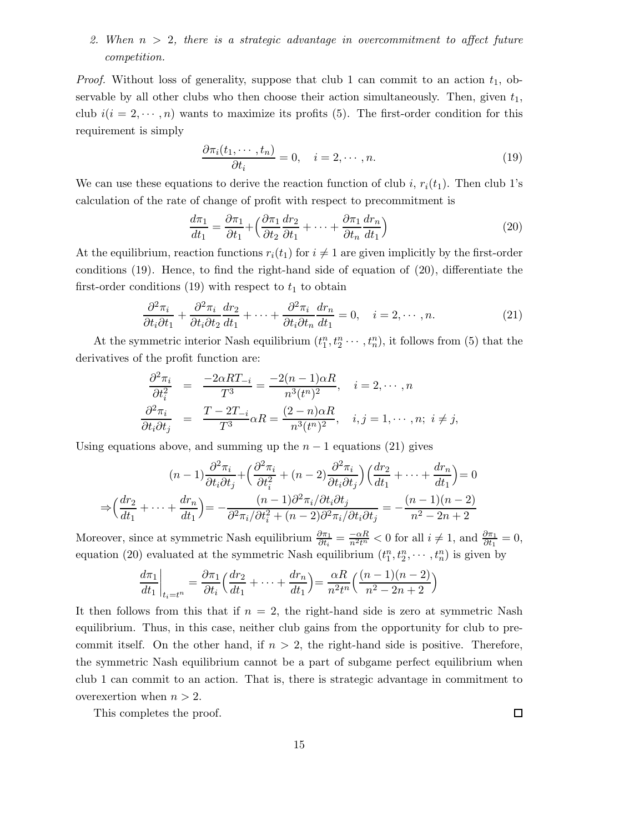### *2. When* n > 2*, there is a strategic advantage in overcommitment to affect future competition.*

*Proof.* Without loss of generality, suppose that club 1 can commit to an action  $t_1$ , observable by all other clubs who then choose their action simultaneously. Then, given  $t_1$ , club  $i(i = 2, \dots, n)$  wants to maximize its profits (5). The first-order condition for this requirement is simply

$$
\frac{\partial \pi_i(t_1, \cdots, t_n)}{\partial t_i} = 0, \quad i = 2, \cdots, n.
$$
\n(19)

We can use these equations to derive the reaction function of club i,  $r_i(t_1)$ . Then club 1's calculation of the rate of change of profit with respect to precommitment is

$$
\frac{d\pi_1}{dt_1} = \frac{\partial \pi_1}{\partial t_1} + \left(\frac{\partial \pi_1}{\partial t_2}\frac{dr_2}{\partial t_1} + \dots + \frac{\partial \pi_1}{\partial t_n}\frac{dr_n}{dt_1}\right)
$$
(20)

At the equilibrium, reaction functions  $r_i(t_1)$  for  $i \neq 1$  are given implicitly by the first-order conditions (19). Hence, to find the right-hand side of equation of (20), differentiate the first-order conditions (19) with respect to  $t_1$  to obtain

$$
\frac{\partial^2 \pi_i}{\partial t_i \partial t_1} + \frac{\partial^2 \pi_i}{\partial t_i \partial t_2} \frac{dr_2}{dt_1} + \dots + \frac{\partial^2 \pi_i}{\partial t_i \partial t_n} \frac{dr_n}{dt_1} = 0, \quad i = 2, \dots, n. \tag{21}
$$

At the symmetric interior Nash equilibrium  $(t_1^n, t_2^n, \dots, t_n^n)$ , it follows from (5) that the derivatives of the profit function are:

$$
\frac{\partial^2 \pi_i}{\partial t_i^2} = \frac{-2\alpha RT_{-i}}{T^3} = \frac{-2(n-1)\alpha R}{n^3(t^n)^2}, \quad i = 2, \dots, n
$$
  

$$
\frac{\partial^2 \pi_i}{\partial t_i \partial t_j} = \frac{T - 2T_{-i}}{T^3} \alpha R = \frac{(2-n)\alpha R}{n^3(t^n)^2}, \quad i, j = 1, \dots, n; \quad i \neq j,
$$

Using equations above, and summing up the  $n-1$  equations (21) gives

$$
(n-1)\frac{\partial^2 \pi_i}{\partial t_i \partial t_j} + \left(\frac{\partial^2 \pi_i}{\partial t_i^2} + (n-2)\frac{\partial^2 \pi_i}{\partial t_i \partial t_j}\right) \left(\frac{dr_2}{dt_1} + \dots + \frac{dr_n}{dt_1}\right) = 0
$$
  

$$
\Rightarrow \left(\frac{dr_2}{dt_1} + \dots + \frac{dr_n}{dt_1}\right) = -\frac{(n-1)\partial^2 \pi_i/\partial t_i \partial t_j}{\partial t_i^2 + (n-2)\partial^2 \pi_i/\partial t_i \partial t_j} = -\frac{(n-1)(n-2)}{n^2 - 2n + 2}
$$

Moreover, since at symmetric Nash equilibrium  $\frac{\partial \pi_1}{\partial t_i} = \frac{-\alpha R}{n^2 t^n} < 0$  for all  $i \neq 1$ , and  $\frac{\partial \pi_1}{\partial t_1} = 0$ , equation (20) evaluated at the symmetric Nash equilibrium  $(t_1^n, t_2^n, \dots, t_n^n)$  is given by

$$
\frac{d\pi_1}{dt_1}\bigg|_{t_i=t^n} = \frac{\partial \pi_1}{\partial t_i} \Big(\frac{dr_2}{dt_1} + \dots + \frac{dr_n}{dt_1}\Big) = \frac{\alpha R}{n^2 t^n} \Big(\frac{(n-1)(n-2)}{n^2 - 2n + 2}\Big)
$$

It then follows from this that if  $n = 2$ , the right-hand side is zero at symmetric Nash equilibrium. Thus, in this case, neither club gains from the opportunity for club to precommit itself. On the other hand, if  $n > 2$ , the right-hand side is positive. Therefore, the symmetric Nash equilibrium cannot be a part of subgame perfect equilibrium when club 1 can commit to an action. That is, there is strategic advantage in commitment to overexertion when  $n > 2$ .

This completes the proof.

 $\Box$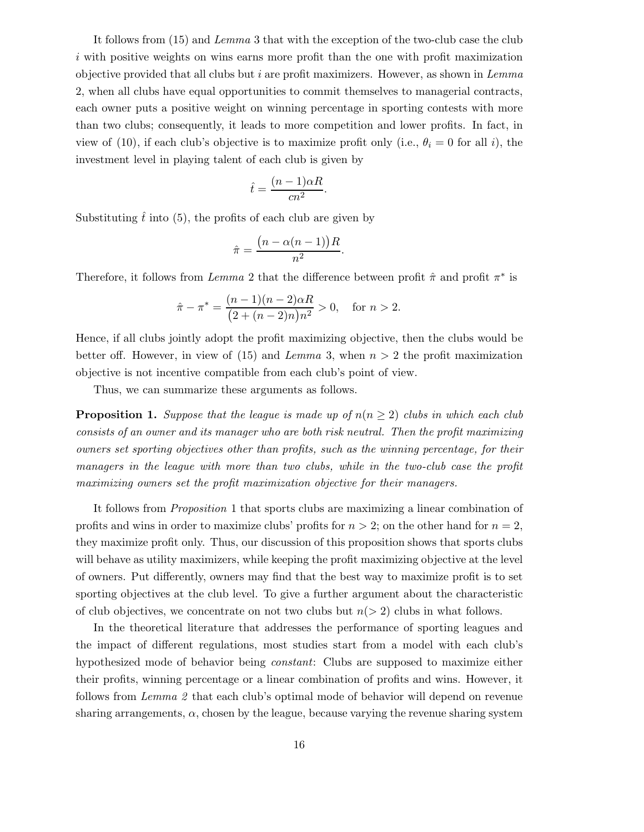It follows from (15) and *Lemma* 3 that with the exception of the two-club case the club i with positive weights on wins earns more profit than the one with profit maximization objective provided that all clubs but i are profit maximizers. However, as shown in *Lemma* 2, when all clubs have equal opportunities to commit themselves to managerial contracts, each owner puts a positive weight on winning percentage in sporting contests with more than two clubs; consequently, it leads to more competition and lower profits. In fact, in view of (10), if each club's objective is to maximize profit only (i.e.,  $\theta_i = 0$  for all i), the investment level in playing talent of each club is given by

$$
\hat{t} = \frac{(n-1)\alpha R}{cn^2}.
$$

Substituting  $\hat{t}$  into (5), the profits of each club are given by

$$
\hat{\pi} = \frac{\left(n - \alpha(n-1)\right)R}{n^2}.
$$

Therefore, it follows from *Lemma* 2 that the difference between profit  $\hat{\pi}$  and profit  $\pi^*$  is

$$
\hat{\pi} - \pi^* = \frac{(n-1)(n-2)\alpha R}{(2 + (n-2)n)n^2} > 0, \text{ for } n > 2.
$$

Hence, if all clubs jointly adopt the profit maximizing objective, then the clubs would be better off. However, in view of  $(15)$  and *Lemma* 3, when  $n > 2$  the profit maximization objective is not incentive compatible from each club's point of view.

Thus, we can summarize these arguments as follows.

**Proposition 1.** *Suppose that the league is made up of*  $n(n \geq 2)$  *clubs in which each club consists of an owner and its manager who are both risk neutral. Then the profit maximizing owners set sporting objectives other than profits, such as the winning percentage, for their managers in the league with more than two clubs, while in the two-club case the profit maximizing owners set the profit maximization objective for their managers.*

It follows from *Proposition* 1 that sports clubs are maximizing a linear combination of profits and wins in order to maximize clubs' profits for  $n > 2$ ; on the other hand for  $n = 2$ , they maximize profit only. Thus, our discussion of this proposition shows that sports clubs will behave as utility maximizers, while keeping the profit maximizing objective at the level of owners. Put differently, owners may find that the best way to maximize profit is to set sporting objectives at the club level. To give a further argument about the characteristic of club objectives, we concentrate on not two clubs but  $n(> 2)$  clubs in what follows.

In the theoretical literature that addresses the performance of sporting leagues and the impact of different regulations, most studies start from a model with each club's hypothesized mode of behavior being *constant*: Clubs are supposed to maximize either their profits, winning percentage or a linear combination of profits and wins. However, it follows from *Lemma 2* that each club's optimal mode of behavior will depend on revenue sharing arrangements,  $\alpha$ , chosen by the league, because varying the revenue sharing system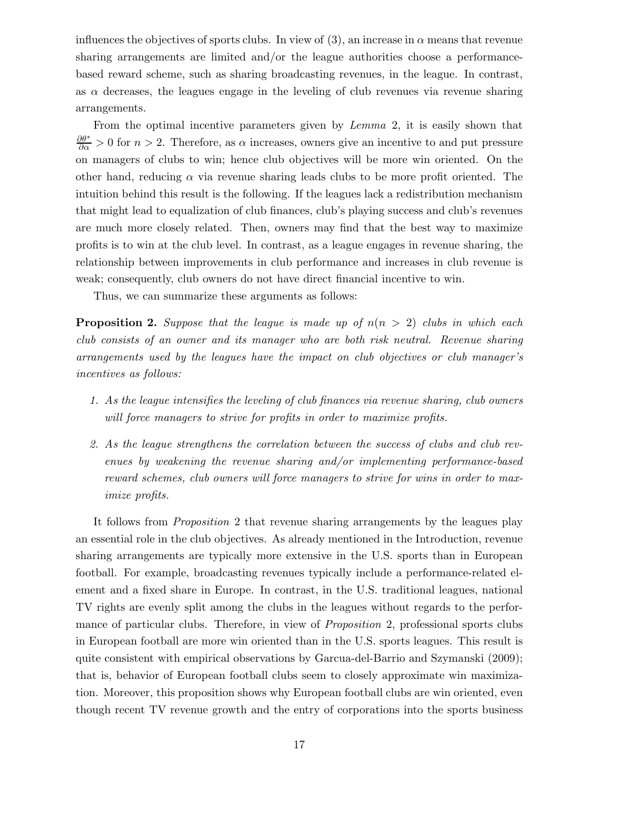influences the objectives of sports clubs. In view of (3), an increase in  $\alpha$  means that revenue sharing arrangements are limited and/or the league authorities choose a performancebased reward scheme, such as sharing broadcasting revenues, in the league. In contrast, as  $\alpha$  decreases, the leagues engage in the leveling of club revenues via revenue sharing arrangements.

From the optimal incentive parameters given by *Lemma* 2, it is easily shown that  $\frac{\partial \theta^*}{\partial \alpha} > 0$  for  $n > 2$ . Therefore, as  $\alpha$  increases, owners give an incentive to and put pressure on managers of clubs to win; hence club objectives will be more win oriented. On the other hand, reducing  $\alpha$  via revenue sharing leads clubs to be more profit oriented. The intuition behind this result is the following. If the leagues lack a redistribution mechanism that might lead to equalization of club finances, club's playing success and club's revenues are much more closely related. Then, owners may find that the best way to maximize profits is to win at the club level. In contrast, as a league engages in revenue sharing, the relationship between improvements in club performance and increases in club revenue is weak; consequently, club owners do not have direct financial incentive to win.

Thus, we can summarize these arguments as follows:

**Proposition 2.** *Suppose that the league is made up of* n(n > 2) *clubs in which each club consists of an owner and its manager who are both risk neutral. Revenue sharing arrangements used by the leagues have the impact on club objectives or club manager's incentives as follows:*

- *1. As the league intensifies the leveling of club finances via revenue sharing, club owners will force managers to strive for profits in order to maximize profits.*
- *2. As the league strengthens the correlation between the success of clubs and club revenues by weakening the revenue sharing and/or implementing performance-based reward schemes, club owners will force managers to strive for wins in order to maximize profits.*

It follows from *Proposition* 2 that revenue sharing arrangements by the leagues play an essential role in the club objectives. As already mentioned in the Introduction, revenue sharing arrangements are typically more extensive in the U.S. sports than in European football. For example, broadcasting revenues typically include a performance-related element and a fixed share in Europe. In contrast, in the U.S. traditional leagues, national TV rights are evenly split among the clubs in the leagues without regards to the performance of particular clubs. Therefore, in view of *Proposition* 2, professional sports clubs in European football are more win oriented than in the U.S. sports leagues. This result is quite consistent with empirical observations by Garcua-del-Barrio and Szymanski (2009); that is, behavior of European football clubs seem to closely approximate win maximization. Moreover, this proposition shows why European football clubs are win oriented, even though recent TV revenue growth and the entry of corporations into the sports business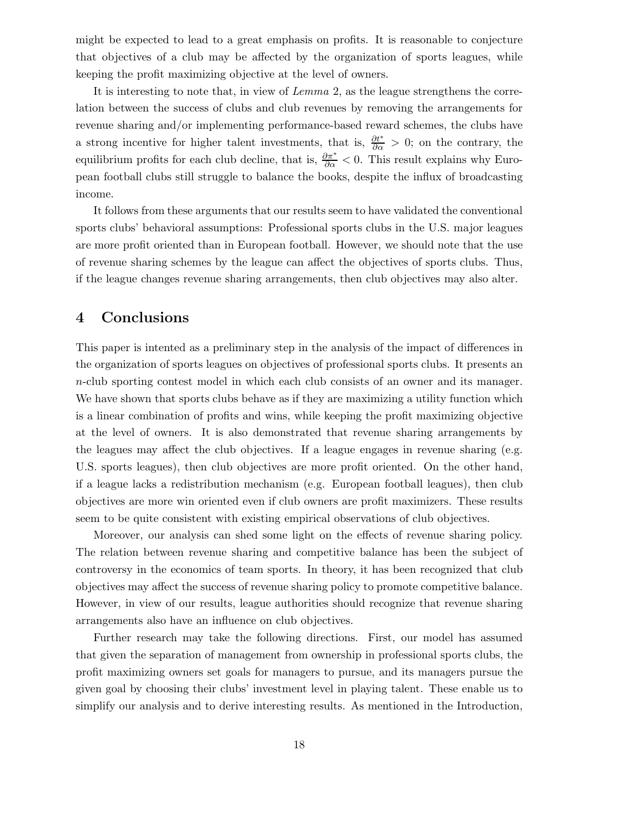might be expected to lead to a great emphasis on profits. It is reasonable to conjecture that objectives of a club may be affected by the organization of sports leagues, while keeping the profit maximizing objective at the level of owners.

It is interesting to note that, in view of *Lemma* 2, as the league strengthens the correlation between the success of clubs and club revenues by removing the arrangements for revenue sharing and/or implementing performance-based reward schemes, the clubs have a strong incentive for higher talent investments, that is,  $\frac{\partial t^*}{\partial \alpha} > 0$ ; on the contrary, the equilibrium profits for each club decline, that is,  $\frac{\partial \pi^*}{\partial \alpha} < 0$ . This result explains why European football clubs still struggle to balance the books, despite the influx of broadcasting income.

It follows from these arguments that our results seem to have validated the conventional sports clubs' behavioral assumptions: Professional sports clubs in the U.S. major leagues are more profit oriented than in European football. However, we should note that the use of revenue sharing schemes by the league can affect the objectives of sports clubs. Thus, if the league changes revenue sharing arrangements, then club objectives may also alter.

## **4 Conclusions**

This paper is intented as a preliminary step in the analysis of the impact of differences in the organization of sports leagues on objectives of professional sports clubs. It presents an n-club sporting contest model in which each club consists of an owner and its manager. We have shown that sports clubs behave as if they are maximizing a utility function which is a linear combination of profits and wins, while keeping the profit maximizing objective at the level of owners. It is also demonstrated that revenue sharing arrangements by the leagues may affect the club objectives. If a league engages in revenue sharing (e.g. U.S. sports leagues), then club objectives are more profit oriented. On the other hand, if a league lacks a redistribution mechanism (e.g. European football leagues), then club objectives are more win oriented even if club owners are profit maximizers. These results seem to be quite consistent with existing empirical observations of club objectives.

Moreover, our analysis can shed some light on the effects of revenue sharing policy. The relation between revenue sharing and competitive balance has been the subject of controversy in the economics of team sports. In theory, it has been recognized that club objectives may affect the success of revenue sharing policy to promote competitive balance. However, in view of our results, league authorities should recognize that revenue sharing arrangements also have an influence on club objectives.

Further research may take the following directions. First, our model has assumed that given the separation of management from ownership in professional sports clubs, the profit maximizing owners set goals for managers to pursue, and its managers pursue the given goal by choosing their clubs' investment level in playing talent. These enable us to simplify our analysis and to derive interesting results. As mentioned in the Introduction,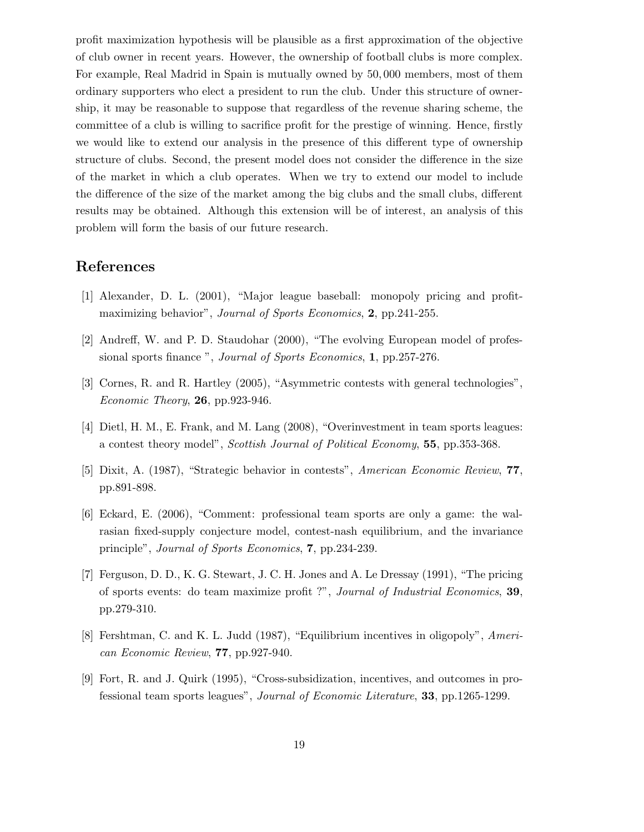profit maximization hypothesis will be plausible as a first approximation of the objective of club owner in recent years. However, the ownership of football clubs is more complex. For example, Real Madrid in Spain is mutually owned by 50, 000 members, most of them ordinary supporters who elect a president to run the club. Under this structure of ownership, it may be reasonable to suppose that regardless of the revenue sharing scheme, the committee of a club is willing to sacrifice profit for the prestige of winning. Hence, firstly we would like to extend our analysis in the presence of this different type of ownership structure of clubs. Second, the present model does not consider the difference in the size of the market in which a club operates. When we try to extend our model to include the difference of the size of the market among the big clubs and the small clubs, different results may be obtained. Although this extension will be of interest, an analysis of this problem will form the basis of our future research.

## **References**

- [1] Alexander, D. L. (2001), "Major league baseball: monopoly pricing and profitmaximizing behavior", *Journal of Sports Economics*, **2**, pp.241-255.
- [2] Andreff, W. and P. D. Staudohar (2000), "The evolving European model of professional sports finance ", *Journal of Sports Economics*, **1**, pp.257-276.
- [3] Cornes, R. and R. Hartley (2005), "Asymmetric contests with general technologies", *Economic Theory*, **26**, pp.923-946.
- [4] Dietl, H. M., E. Frank, and M. Lang (2008), "Overinvestment in team sports leagues: a contest theory model", *Scottish Journal of Political Economy*, **55**, pp.353-368.
- [5] Dixit, A. (1987), "Strategic behavior in contests", *American Economic Review*, **77**, pp.891-898.
- [6] Eckard, E. (2006), "Comment: professional team sports are only a game: the walrasian fixed-supply conjecture model, contest-nash equilibrium, and the invariance principle", *Journal of Sports Economics*, **7**, pp.234-239.
- [7] Ferguson, D. D., K. G. Stewart, J. C. H. Jones and A. Le Dressay (1991), "The pricing of sports events: do team maximize profit ?", *Journal of Industrial Economics*, **39**, pp.279-310.
- [8] Fershtman, C. and K. L. Judd (1987), "Equilibrium incentives in oligopoly", *American Economic Review*, **77**, pp.927-940.
- [9] Fort, R. and J. Quirk (1995), "Cross-subsidization, incentives, and outcomes in professional team sports leagues", *Journal of Economic Literature*, **33**, pp.1265-1299.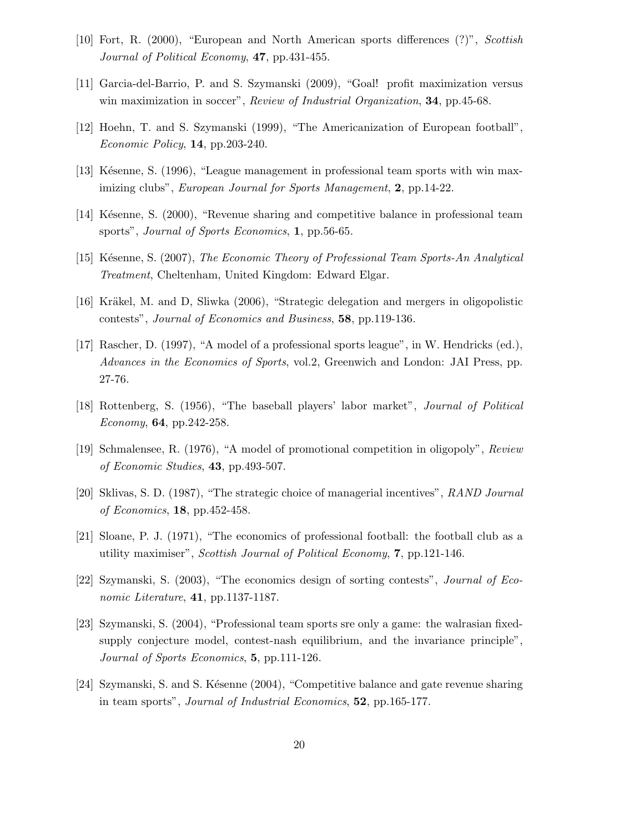- [10] Fort, R. (2000), "European and North American sports differences (?)", *Scottish Journal of Political Economy*, **47**, pp.431-455.
- [11] Garcia-del-Barrio, P. and S. Szymanski (2009), "Goal! profit maximization versus win maximization in soccer", *Review of Industrial Organization*, **34**, pp.45-68.
- [12] Hoehn, T. and S. Szymanski (1999), "The Americanization of European football", *Economic Policy*, **14**, pp.203-240.
- [13] Késenne, S. (1996), "League management in professional team sports with win maximizing clubs", *European Journal for Sports Management*, **2**, pp.14-22.
- [14] Késenne, S. (2000), "Revenue sharing and competitive balance in professional team sports", *Journal of Sports Economics*, **1**, pp.56-65.
- [15] K´esenne, S. (2007), *The Economic Theory of Professional Team Sports-An Analytical Treatment*, Cheltenham, United Kingdom: Edward Elgar.
- [16] Kräkel, M. and D. Sliwka (2006), "Strategic delegation and mergers in oligopolistic contests", *Journal of Economics and Business*, **58**, pp.119-136.
- [17] Rascher, D. (1997), "A model of a professional sports league", in W. Hendricks (ed.), *Advances in the Economics of Sports*, vol.2, Greenwich and London: JAI Press, pp. 27-76.
- [18] Rottenberg, S. (1956), "The baseball players' labor market", *Journal of Political Economy*, **64**, pp.242-258.
- [19] Schmalensee, R. (1976), "A model of promotional competition in oligopoly", *Review of Economic Studies*, **43**, pp.493-507.
- [20] Sklivas, S. D. (1987), "The strategic choice of managerial incentives", *RAND Journal of Economics*, **18**, pp.452-458.
- [21] Sloane, P. J. (1971), "The economics of professional football: the football club as a utility maximiser", *Scottish Journal of Political Economy*, **7**, pp.121-146.
- [22] Szymanski, S. (2003), "The economics design of sorting contests", *Journal of Economic Literature*, **41**, pp.1137-1187.
- [23] Szymanski, S. (2004), "Professional team sports sre only a game: the walrasian fixedsupply conjecture model, contest-nash equilibrium, and the invariance principle", *Journal of Sports Economics*, **5**, pp.111-126.
- [24] Szymanski, S. and S. Késenne (2004), "Competitive balance and gate revenue sharing in team sports", *Journal of Industrial Economics*, **52**, pp.165-177.